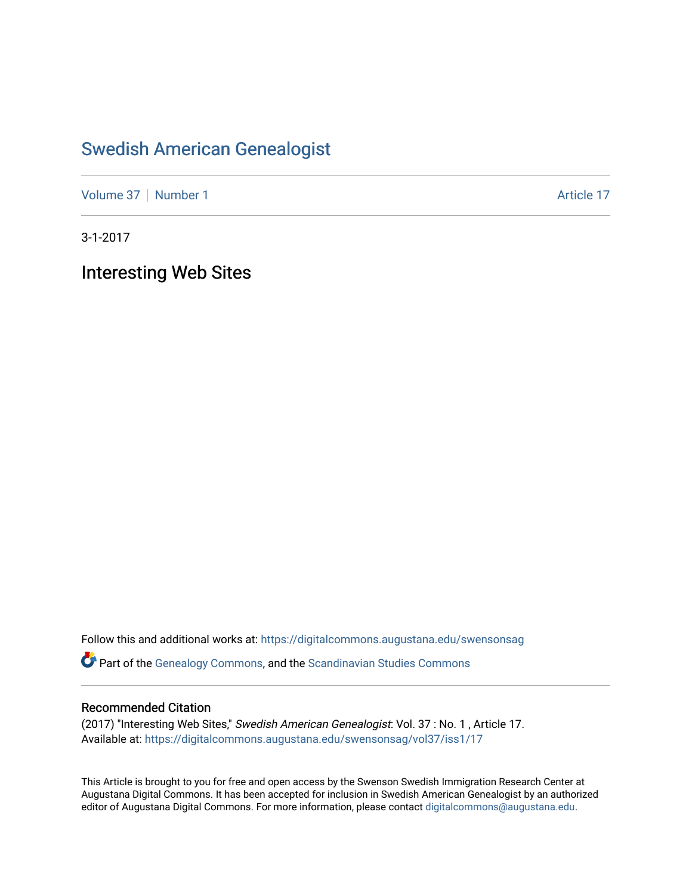## [Swedish American Genealogist](https://digitalcommons.augustana.edu/swensonsag)

[Volume 37](https://digitalcommons.augustana.edu/swensonsag/vol37) [Number 1](https://digitalcommons.augustana.edu/swensonsag/vol37/iss1) Article 17

3-1-2017

Interesting Web Sites

Follow this and additional works at: [https://digitalcommons.augustana.edu/swensonsag](https://digitalcommons.augustana.edu/swensonsag?utm_source=digitalcommons.augustana.edu%2Fswensonsag%2Fvol37%2Fiss1%2F17&utm_medium=PDF&utm_campaign=PDFCoverPages) 

Part of the [Genealogy Commons,](http://network.bepress.com/hgg/discipline/1342?utm_source=digitalcommons.augustana.edu%2Fswensonsag%2Fvol37%2Fiss1%2F17&utm_medium=PDF&utm_campaign=PDFCoverPages) and the [Scandinavian Studies Commons](http://network.bepress.com/hgg/discipline/485?utm_source=digitalcommons.augustana.edu%2Fswensonsag%2Fvol37%2Fiss1%2F17&utm_medium=PDF&utm_campaign=PDFCoverPages)

## Recommended Citation

(2017) "Interesting Web Sites," Swedish American Genealogist: Vol. 37 : No. 1 , Article 17. Available at: [https://digitalcommons.augustana.edu/swensonsag/vol37/iss1/17](https://digitalcommons.augustana.edu/swensonsag/vol37/iss1/17?utm_source=digitalcommons.augustana.edu%2Fswensonsag%2Fvol37%2Fiss1%2F17&utm_medium=PDF&utm_campaign=PDFCoverPages) 

This Article is brought to you for free and open access by the Swenson Swedish Immigration Research Center at Augustana Digital Commons. It has been accepted for inclusion in Swedish American Genealogist by an authorized editor of Augustana Digital Commons. For more information, please contact [digitalcommons@augustana.edu.](mailto:digitalcommons@augustana.edu)